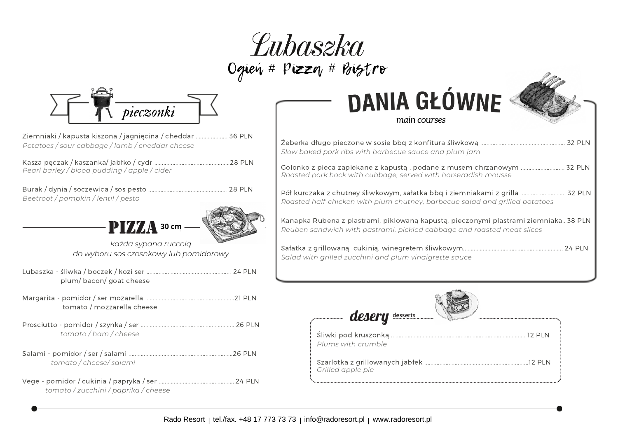



- Ziemniaki / kapusta kiszona / jagnięcina / cheddar ..................... 36 PLN *Potatoes / sour cabbage / lamb / cheddar cheese*
- Kasza pęczak / kaszanka/ jabłko / cydr ..................................................28 PLN *Pearl barley / blood pudding / apple / cider*
- Burak / dynia / soczewica / sos pesto .................................................... 28 PLN *Beetroot / pampkin / lentil / pesto*



*każda sypana ruccolą do wyboru sos czosnkowy lub pomidorowy*

- Lubaszka śliwka / boczek / kozi ser ........................................................ 24 PLN plum/ bacon/ goat cheese
- Margarita pomidor / ser mozarella ...........................................................21 PLN tomato / mozzarella cheese
- Prosciutto pomidor / szynka / ser ...............................................................26 PLN *tomato / ham / cheese*
- Salami pomidor / ser / salami .....................................................................26 PLN *tomato / cheese/ salami*
- Vege pomidor / cukinia / papryka / ser ...................................................24 PLN *tomato / zucchini / paprika / cheese*

# **DANIA GŁÓWNE**



*main courses*

| 32 PLN<br>Slow baked pork ribs with barbecue sauce and plum jam                                                                                                |
|----------------------------------------------------------------------------------------------------------------------------------------------------------------|
| Golonko z pieca zapiekane z kapustą , podane z musem chrzanowym  32 PLN<br>Roasted pork hock with cubbage, served with horseradish mousse                      |
| Pół kurczaka z chutney śliwkowym, sałatka bbq i ziemniakami z grilla  32 PLN<br>Roasted half-chicken with plum chutney, barbecue salad and grilled potatoes    |
| Kanapka Rubena z plastrami, piklowaną kapustą, pieczonymi plastrami ziemniaka 38 PLN<br>Reuben sandwich with pastrami, pickled cabbage and roasted meat slices |
| Salad with grilled zucchini and plum vinaigrette sauce                                                                                                         |
|                                                                                                                                                                |



| Plums with crumble |  |
|--------------------|--|
| Grilled apple pie  |  |